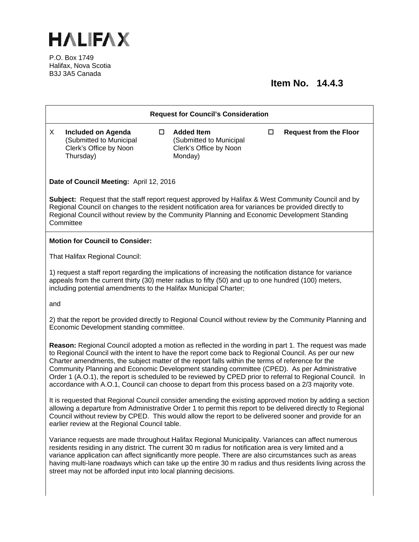

P.O. Box 1749 Halifax, Nova Scotia B3J 3A5 Canada

## **Item No. 14.4.3**

| <b>Request for Council's Consideration</b>                                                                                                                                                                                                                                                                                                                                                                                                                                                                                                                                                                                            |                                                                                             |  |                                                                                   |   |                               |
|---------------------------------------------------------------------------------------------------------------------------------------------------------------------------------------------------------------------------------------------------------------------------------------------------------------------------------------------------------------------------------------------------------------------------------------------------------------------------------------------------------------------------------------------------------------------------------------------------------------------------------------|---------------------------------------------------------------------------------------------|--|-----------------------------------------------------------------------------------|---|-------------------------------|
| X                                                                                                                                                                                                                                                                                                                                                                                                                                                                                                                                                                                                                                     | <b>Included on Agenda</b><br>(Submitted to Municipal<br>Clerk's Office by Noon<br>Thursday) |  | <b>Added Item</b><br>(Submitted to Municipal<br>Clerk's Office by Noon<br>Monday) | □ | <b>Request from the Floor</b> |
| Date of Council Meeting: April 12, 2016                                                                                                                                                                                                                                                                                                                                                                                                                                                                                                                                                                                               |                                                                                             |  |                                                                                   |   |                               |
| <b>Subject:</b> Request that the staff report request approved by Halifax & West Community Council and by<br>Regional Council on changes to the resident notification area for variances be provided directly to<br>Regional Council without review by the Community Planning and Economic Development Standing<br>Committee                                                                                                                                                                                                                                                                                                          |                                                                                             |  |                                                                                   |   |                               |
| <b>Motion for Council to Consider:</b>                                                                                                                                                                                                                                                                                                                                                                                                                                                                                                                                                                                                |                                                                                             |  |                                                                                   |   |                               |
| That Halifax Regional Council:                                                                                                                                                                                                                                                                                                                                                                                                                                                                                                                                                                                                        |                                                                                             |  |                                                                                   |   |                               |
| 1) request a staff report regarding the implications of increasing the notification distance for variance<br>appeals from the current thirty (30) meter radius to fifty (50) and up to one hundred (100) meters,<br>including potential amendments to the Halifax Municipal Charter;                                                                                                                                                                                                                                                                                                                                                  |                                                                                             |  |                                                                                   |   |                               |
| and                                                                                                                                                                                                                                                                                                                                                                                                                                                                                                                                                                                                                                   |                                                                                             |  |                                                                                   |   |                               |
| 2) that the report be provided directly to Regional Council without review by the Community Planning and<br>Economic Development standing committee.                                                                                                                                                                                                                                                                                                                                                                                                                                                                                  |                                                                                             |  |                                                                                   |   |                               |
| Reason: Regional Council adopted a motion as reflected in the wording in part 1. The request was made<br>to Regional Council with the intent to have the report come back to Regional Council. As per our new<br>Charter amendments, the subject matter of the report falls within the terms of reference for the<br>Community Planning and Economic Development standing committee (CPED). As per Administrative<br>Order 1 (A.O.1), the report is scheduled to be reviewed by CPED prior to referral to Regional Council. In<br>accordance with A.O.1, Council can choose to depart from this process based on a 2/3 majority vote. |                                                                                             |  |                                                                                   |   |                               |
| It is requested that Regional Council consider amending the existing approved motion by adding a section<br>allowing a departure from Administrative Order 1 to permit this report to be delivered directly to Regional<br>Council without review by CPED. This would allow the report to be delivered sooner and provide for an<br>earlier review at the Regional Council table.                                                                                                                                                                                                                                                     |                                                                                             |  |                                                                                   |   |                               |
| Variance requests are made throughout Halifax Regional Municipality. Variances can affect numerous<br>residents residing in any district. The current 30 m radius for notification area is very limited and a<br>variance application can affect significantly more people. There are also circumstances such as areas<br>having multi-lane roadways which can take up the entire 30 m radius and thus residents living across the<br>street may not be afforded input into local planning decisions.                                                                                                                                 |                                                                                             |  |                                                                                   |   |                               |